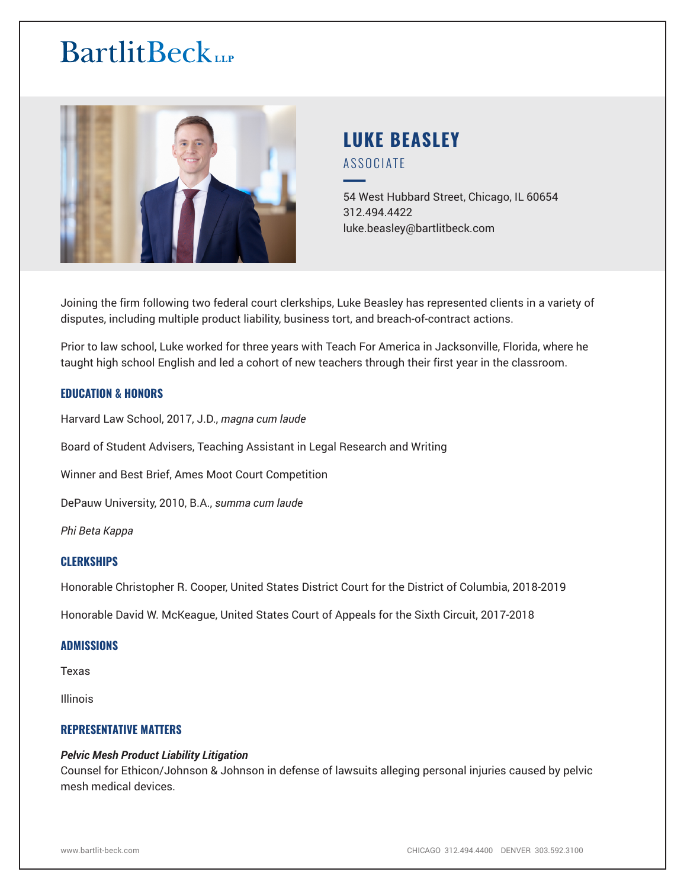# **BartlitBeck**



# **LUKE BEASLEY** ASSOCIATE

54 West Hubbard Street, Chicago, IL 60654 312.494.4422 luke.beasley@bartlitbeck.com

Joining the firm following two federal court clerkships, Luke Beasley has represented clients in a variety of disputes, including multiple product liability, business tort, and breach-of-contract actions.

Prior to law school, Luke worked for three years with Teach For America in Jacksonville, Florida, where he taught high school English and led a cohort of new teachers through their first year in the classroom.

# **EDUCATION & HONORS**

Harvard Law School, 2017, J.D., *magna cum laude*

Board of Student Advisers, Teaching Assistant in Legal Research and Writing

Winner and Best Brief, Ames Moot Court Competition

DePauw University, 2010, B.A., *summa cum laude*

*Phi Beta Kappa*

# **CLERKSHIPS**

Honorable Christopher R. Cooper, United States District Court for the District of Columbia, 2018-2019

Honorable David W. McKeague, United States Court of Appeals for the Sixth Circuit, 2017-2018

#### **ADMISSIONS**

Texas

Illinois

# **REPRESENTATIVE MATTERS**

#### *Pelvic Mesh Product Liability Litigation*

Counsel for Ethicon/Johnson & Johnson in defense of lawsuits alleging personal injuries caused by pelvic mesh medical devices.